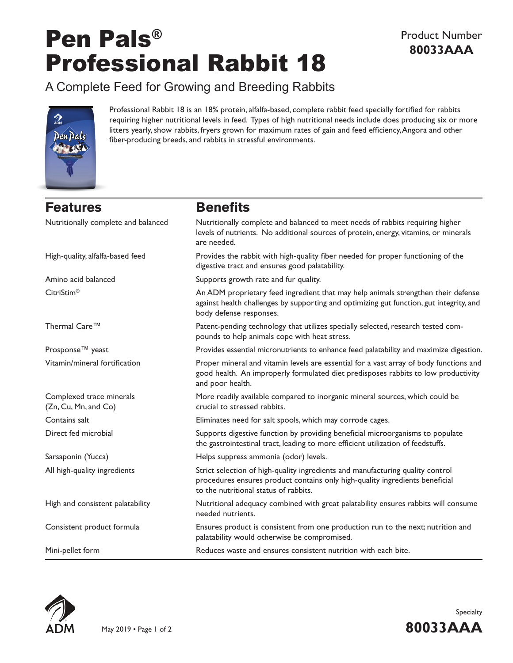# Pen Pals® Professional Rabbit 18

## A Complete Feed for Growing and Breeding Rabbits



Professional Rabbit 18 is an 18% protein, alfalfa-based, complete rabbit feed specially fortified for rabbits requiring higher nutritional levels in feed. Types of high nutritional needs include does producing six or more litters yearly, show rabbits, fryers grown for maximum rates of gain and feed efficiency, Angora and other fiber-producing breeds, and rabbits in stressful environments.

# **Features Benefits**

| Nutritionally complete and balanced              | Nutritionally complete and balanced to meet needs of rabbits requiring higher<br>levels of nutrients. No additional sources of protein, energy, vitamins, or minerals<br>are needed.                    |  |
|--------------------------------------------------|---------------------------------------------------------------------------------------------------------------------------------------------------------------------------------------------------------|--|
| High-quality, alfalfa-based feed                 | Provides the rabbit with high-quality fiber needed for proper functioning of the<br>digestive tract and ensures good palatability.                                                                      |  |
| Amino acid balanced                              | Supports growth rate and fur quality.                                                                                                                                                                   |  |
| CitriStim <sup>®</sup>                           | An ADM proprietary feed ingredient that may help animals strengthen their defense<br>against health challenges by supporting and optimizing gut function, gut integrity, and<br>body defense responses. |  |
| Thermal Care <sup>™</sup>                        | Patent-pending technology that utilizes specially selected, research tested com-<br>pounds to help animals cope with heat stress.                                                                       |  |
| Prosponse <sup>™</sup> yeast                     | Provides essential micronutrients to enhance feed palatability and maximize digestion.                                                                                                                  |  |
| Vitamin/mineral fortification                    | Proper mineral and vitamin levels are essential for a vast array of body functions and<br>good health. An improperly formulated diet predisposes rabbits to low productivity<br>and poor health.        |  |
| Complexed trace minerals<br>(Zn, Cu, Mn, and Co) | More readily available compared to inorganic mineral sources, which could be<br>crucial to stressed rabbits.                                                                                            |  |
| Contains salt                                    | Eliminates need for salt spools, which may corrode cages.                                                                                                                                               |  |
| Direct fed microbial                             | Supports digestive function by providing beneficial microorganisms to populate<br>the gastrointestinal tract, leading to more efficient utilization of feedstuffs.                                      |  |
| Sarsaponin (Yucca)                               | Helps suppress ammonia (odor) levels.                                                                                                                                                                   |  |
| All high-quality ingredients                     | Strict selection of high-quality ingredients and manufacturing quality control<br>procedures ensures product contains only high-quality ingredients beneficial<br>to the nutritional status of rabbits. |  |
| High and consistent palatability                 | Nutritional adequacy combined with great palatability ensures rabbits will consume<br>needed nutrients.                                                                                                 |  |
| Consistent product formula                       | Ensures product is consistent from one production run to the next; nutrition and<br>palatability would otherwise be compromised.                                                                        |  |
| Mini-pellet form                                 | Reduces waste and ensures consistent nutrition with each bite.                                                                                                                                          |  |